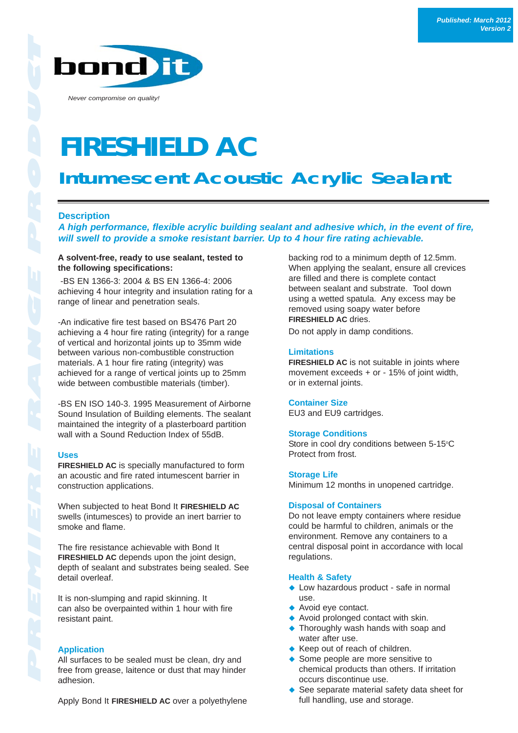

*Never compromise on quality!*

# **FIRESHIELD AC**

# **Intumescent Acoustic Acrylic Sealant**

## **Description**

*A high performance, flexible acrylic building sealant and adhesive which, in the event of fire, will swell to provide a smoke resistant barrier. Up to 4 hour fire rating achievable.*

#### **A solvent-free, ready to use sealant, tested to the following specifications:**

-BS EN 1366-3: 2004 & BS EN 1366-4: 2006 achieving 4 hour integrity and insulation rating for a range of linear and penetration seals.

-An indicative fire test based on BS476 Part 20 achieving a 4 hour fire rating (integrity) for a range of vertical and horizontal joints up to 35mm wide between various non-combustible construction materials. A 1 hour fire rating (integrity) was achieved for a range of vertical joints up to 25mm wide between combustible materials (timber).

-BS EN ISO 140-3. 1995 Measurement of Airborne Sound Insulation of Building elements. The sealant maintained the integrity of a plasterboard partition wall with a Sound Reduction Index of 55dB.

#### **Uses**

**FIRESHIELD AC** is specially manufactured to form an acoustic and fire rated intumescent barrier in construction applications.

When subjected to heat Bond It **FIRESHIELD AC** swells (intumesces) to provide an inert barrier to smoke and flame.

The fire resistance achievable with Bond It **FIRESHIELD AC** depends upon the joint design, depth of sealant and substrates being sealed. See detail overleaf.

It is non-slumping and rapid skinning. It can also be overpainted within 1 hour with fire resistant paint.

#### **Application**

All surfaces to be sealed must be clean, dry and free from grease, laitence or dust that may hinder adhesion.

Apply Bond It **FIRESHIELD AC** over a polyethylene

backing rod to a minimum depth of 12.5mm. When applying the sealant, ensure all crevices are filled and there is complete contact between sealant and substrate. Tool down using a wetted spatula. Any excess may be removed using soapy water before **FIRESHIELD AC** dries.

Do not apply in damp conditions.

#### **Limitations**

**FIRESHIELD AC** is not suitable in joints where movement exceeds + or - 15% of joint width, or in external joints.

#### **Container Size**

EU3 and EU9 cartridges.

#### **Storage Conditions**

Store in cool dry conditions between 5-15°C Protect from frost.

#### **Storage Life**

Minimum 12 months in unopened cartridge.

#### **Disposal of Containers**

Do not leave empty containers where residue could be harmful to children, animals or the environment. Remove any containers to a central disposal point in accordance with local regulations.

#### **Health & Safety**

- ◆ Low hazardous product safe in normal use.
- ◆ Avoid eye contact.
- ◆ Avoid prolonged contact with skin.
- ◆ Thoroughly wash hands with soap and water after use.
- ◆ Keep out of reach of children.
- ◆ Some people are more sensitive to chemical products than others. If irritation occurs discontinue use.
- ◆ See separate material safety data sheet for full handling, use and storage.